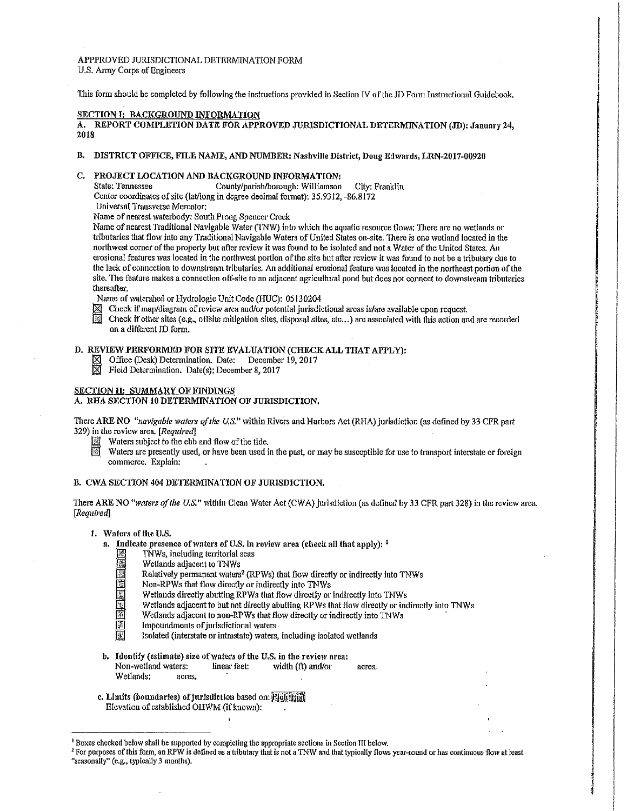#### APPPROVED JURISDICTIONAL DETERMINATION FORM U.S. Army Corps of Engineers

This form should be completed by following the instructions provided in Section IV of the JD Form Instructional Guidebook.

## SECTION I: BACKGROUND INFORMATION

A. REPORT COMPLETION DATE FOR APPROVED JURISDICTIONAL DETERMINATION (JD): January 24, 2018

# B. DISTRICT OFFICE, FILE NAME, AND NUMBER: Nashville District, Doug Edward» LRN-2017-00920

# C. PROJECT LOCATION AND BACKGROUND INFORMATION:<br>State: Tennessee County/parish/borough: Williamson

County/parish/borough: Williamson City: Franklin Center coordinates of site (lat/long in degree decimal format): 35.9312, -86.8172 Universal Transverse Mercator:

Name of nearest waterbody: South Prong Spencer Creek

Name of nearest Traditional Navigable Water (1NW) into which the aquatic resource flows: There are no wetlands or tributaries that flow into any Traditional Navigable Waters of United States on-site. There is one wetland located in the northwest corner of the property but after review it was found to be isolated and not a Water of the United States. An erosional features was located in the northwest portion of the site but after review it was found to not be a tributary due to the lack of connection to downstream tributaries. An additional erosional feature was located in the northeast portion of the site, The feature makes a connection off-site to an adjacent agricultural pond but does not connect to downstream tributaries thereafter.

Name of watershed or Hydrologic Unit Code (HUC): 05130204<br>
X Check if map/diagram of review area and/or potential inrisdia

- Check if map/diagram of review area and/or potential jurisdictional areas is/are available upon request.
- Check if other sites (e.g., offsite mitigation sites, disposal sites, etc...) are associated with this action and are recorded on a different JD form.

# D. REVIEW PERFORMED FOR SITE EVALUATION (CHECK ALL THAT APPLY):

- Office (Desk) Determination. Date: December 19, 2017<br>■ Field Determination. Date(s): December 8, 2017
- Field Determination. Date(s): December 8, 2017

# SECTION II: SUMMARY OF FINDINGS

# A. RHA SECTION 10 DETERMINATION OF JURISDICTION.

There ARE NO *"navigable waters of the U.S."* within Rivers and Harbors Act (RHA) jurisdiction (as defined by 33 CFR part 329) in the revio\v area. *[Required]* 

- $\mathbb{R}$  Waters subject to the ebb and flow of the tide.
	- Waters are presently used, or have been used in the past, or may be susceptible for use to transport interstate or foreign commerce. Explain:

#### B. CWA SECTION 404 DETERMINATION OF JURISDICTION.

There ARE NO *Hwaters of the U.S."* within Clean Water Act (CWA) jurisdiction (as defined by 33 CPR part 328) in the review area. *[Required]* 

## 1. Waters of the U.S.

- a. Indicate presence of waters of U.S. in review area (check all that apply):  $<sup>1</sup>$ </sup>
	- TNWs, including territorial seas<br>Wetlands adjacent to TNWs
	-
	- Wetlands adjacent to TNWs<br>
	Relatively permanent waters<br>
	Non-RPWs that flow directly<br>
	Wetlands directly abutting R<br>
	Wetlands adjacent to but not Relatively permanent waters<sup>2</sup> (RPWs) that flow directly or indirectly into TNWs
		- Non-RPWs that flow directly or indirectly into TNWs
		- Wetlands directly abutting RPWs that flow directly or indirectly into TNWs
		- Wetlands adjacent to but not directly abutting RPWs that flow directly or indirectly into TNWs
		- Wetlands adjacent to non-RPWs that flow directly or indirectly into TNWs
		- Impoundments of jurisdictional waters
			- Isolated (interstate or intrastate) waters, including isolated wetlands
- b. Identify (estimate) size of waters of the U.S. in the review area:<br>Non-wetland waters: linear feet: width (ft) and/or Non-wetfand waters: linear feet: width (ft) and/or acres. Wetlands: acres.
- c. Limits (boundaries) of jurisdiction based on: *Pick Bist* Elevation of established OHWM (if known):

<sup>&</sup>lt;sup>1</sup> Boxes checked below shall be supported by completing the appropriate sections in Section III below.

<sup>&</sup>lt;sup>2</sup> For purposes of this form, an RPW is defined as a tributary that is not a TNW and that typically flows year-round or has continuous flow at least "seasonally" (e.g., typically *3* months).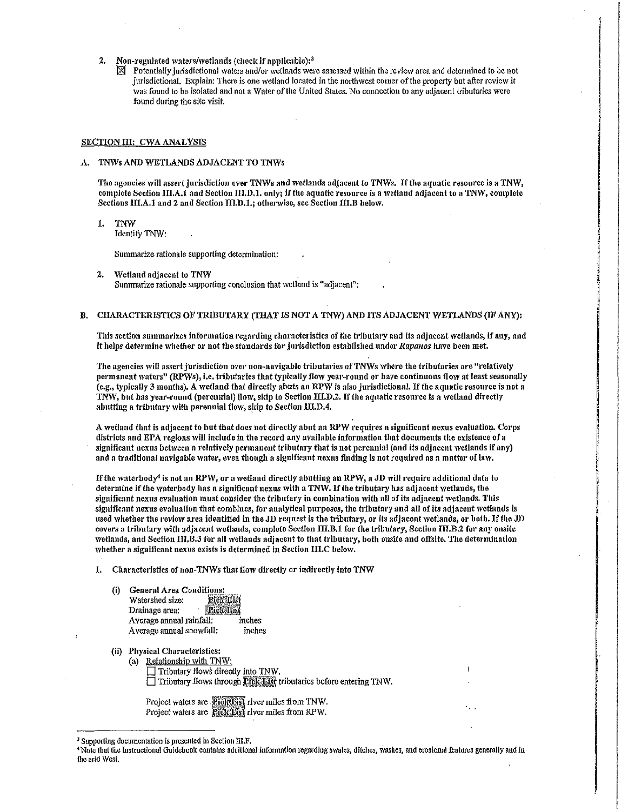- Non-regulated waters/wetlands (check if applicable):<sup>3</sup><br> $\boxtimes$  Potentially invisdictional waters and/or wetlands were
	- Potentially jurisdictional waters and/or wetlands were assessed within the review area and determined to be not jurisdictional. Explain: There is one wetland located in the northwest corner of the property but after review it was found to be isolated and not a Water of the United States. No connection to any adjacent tributaries were found during the site visit.

## SECTION III: CWA ANALYSIS

#### A. TNWs AND WETLANDS ADJACENT TO TNWs

The agencies 'viii assert jurisdiction over TNWs and wetlands adjacent to TNWs. If the aquatic resource is a TNW, complete Section  $\Pi I, A, I$  and Section  $\Pi I, D, I$ , only; if the aquatic resource is a wetland adjacent to a TNW, complete Sections III.A.1 and 2 and Section III.D.1.; otherwise, see Section III.B below.

1. TNW

Identify TNW:

Summarize rationale supporting determination:

2. Wetland adjacent to TNW Summarize rationale supporting conclusion that wetland is "adjacent":

# B. CHARACTERISTICS OF TRIBUTARY (THAT IS NOT A TNW) AND ITS ADJACENT WETLANDS (IF ANY):

This section summarizes information regarding characteristics of the tributary and its adjacent wetlands, if any, and it helps determine whether or not the standards for jurisdiction established under *Rapanos* have been met.

i<br>international professional professional professional professional professional professional professional profes<br>international professional professional professional professional professional professional professional pro

I

The agencies will assert jurisdiction over non-navigable tributaries of TNWs where the tributaries are "relatively permanent waters" (RPWs), i.e. tributaries that typically flow year-round or have continuous flow at least seasonally (e.g., typically 3 months). A wetland that directly abuts an RPW is also jurisdictional. If the aquatic resource is not a TNW, but has year-round (perennial) flow, skip to Section IILD.2. If the aquatic resource is a wetland directly abutting a tributary with perennial flow, skip to Section III.D.4.

A 'vetland that is adjacent to hut that does not directly abut an RPW requires a significant nexus evaluation. Corps districts and EPA regions will include in the record any available information that documents the existence of a significant nexus between a relatively permanent tributary that is not perennial (and its adjacent wetlands if any) and a traditional navigable water, even though a significant nexus finding is not required as a matter of law.

If the waterbody<sup>4</sup> is not an RPW, or a wetland directly abutting an RPW, a JD will require additional data to determine if the waterbody has a significant nexus with a TNW. If the tributary has adjacent wetlands, the significant nexus evaluation must consider the tributary in combination with all of its adjacent wetlands. This significant nexus evaluation that combines, for analytical purposes, the tributary and all of its adjacent wetlands is used whether the review area identified in the JD request is the tributary, or its adjacent wetlands, or both. If the JD covers a tributary with adjacent wetlands, complete Section III.B.1 for the tributary, Section III.B.2 for any onsite wetlands, and Section III.B.3 for all wetlands adjacent to that tributary, both onsite and offsite. The determination whether a significant nexus exists is determined in Section III.C below.

1. Characteristics of non-TNWs that flow directly or indirectly into TNW

- (i) General Area Conditions: Drainage area: **Drainage area:** A veragc annual rainfall: inches Average annual snowfall: inches
- (ii) Physical Characteristics:
	- (a) Relationship with TNW:  $\Box$  Tributary flows directly into TNW.  $\Box$  Tributary flows through  $\Omega$   $\Omega$   $\Box$  is tributaries before entering TNW.

Project waters are **Rightlist** river miles from TNW. Project waters are **Pick List** river miles from RPW.

<sup>&</sup>lt;sup>3</sup> Supporting documentation is presented in Section III.F,<br><sup>4</sup> Note that the Instructional Guidebook contains additional information regarding swales, ditches, washes, and erosional features generally and in tho arid West.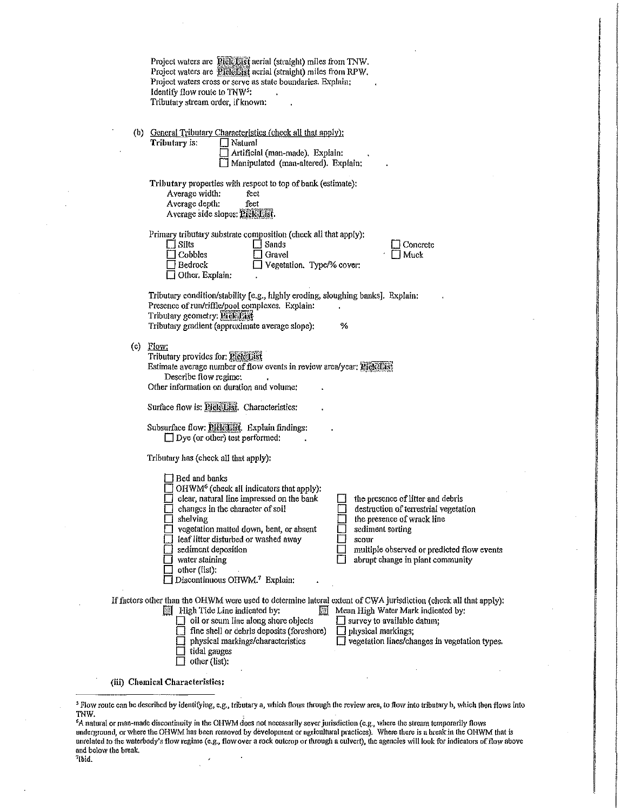| Project waters are Rick Sist aerial (straight) miles from TNW.<br>Project waters are Picketist acrial (straight) miles from RPW.<br>Project waters cross or serve as state boundaries. Explain:<br>Identify flow route to TNW <sup>5</sup> :<br>Tributary stream order, if known:                                                                                                                                                                                                                                                                                                         |  |  |  |  |  |
|-------------------------------------------------------------------------------------------------------------------------------------------------------------------------------------------------------------------------------------------------------------------------------------------------------------------------------------------------------------------------------------------------------------------------------------------------------------------------------------------------------------------------------------------------------------------------------------------|--|--|--|--|--|
| (b) General Tributary Characteristics (check all that apply):<br>Tributary is:<br>] Natural<br>Artificial (man-made). Explain:<br>Manipulated (man-altered). Explain:                                                                                                                                                                                                                                                                                                                                                                                                                     |  |  |  |  |  |
| Tributary properties with respect to top of bank (estimate):<br>Average width:<br>feet<br>Average depth:<br>feet<br>Average side slopes: Pick List.                                                                                                                                                                                                                                                                                                                                                                                                                                       |  |  |  |  |  |
| Primary tributary substrate composition (check all that apply):<br>$\Box$ Sands<br>$\Box$ Silts<br>Concrete<br>Cobbles<br>Gravel<br>Muck<br>Vegetation. Type/% cover:<br><b>Bedrock</b><br>Other, Explain:                                                                                                                                                                                                                                                                                                                                                                                |  |  |  |  |  |
| Tributary condition/stability [e.g., highly eroding, sloughing banks]. Explain:<br>Presence of run/riffle/pool complexes. Explain:<br>Tributary geometry: Eick List<br>Tributary gradient (approximate average slope):<br>℅                                                                                                                                                                                                                                                                                                                                                               |  |  |  |  |  |
| $(c)$ Flow:<br>Tributary provides for; Pick List<br>Estimate average number of flow events in review area/year: Pick List<br>Describe flow regime:<br>Other information on duration and volume:                                                                                                                                                                                                                                                                                                                                                                                           |  |  |  |  |  |
| Surface flow is: Pick List. Characteristics:                                                                                                                                                                                                                                                                                                                                                                                                                                                                                                                                              |  |  |  |  |  |
| Subsurface flow: Pleichist. Explain findings:<br>$\Box$ Dye (or other) test performed:                                                                                                                                                                                                                                                                                                                                                                                                                                                                                                    |  |  |  |  |  |
| Tributary has (check all that apply):                                                                                                                                                                                                                                                                                                                                                                                                                                                                                                                                                     |  |  |  |  |  |
| 1 Bed and banks<br>OHWM <sup>6</sup> (check all indicators that apply):<br>clear, natural line impressed on the bank<br>the presence of litter and debris<br>changes in the character of soil<br>destruction of terrestrial vegetation<br>shelving<br>the presence of wrack line<br>vegetation matted down, bent, or absent<br>sediment sorting<br>leaf litter disturbed or washed away<br>scour<br>sediment deposition<br>multiple observed or predicted flow events<br>water staining<br>abrupt change in plant community<br>other (list):<br>Discontinuous OHWM. <sup>7</sup> Explain: |  |  |  |  |  |
| If factors other than the OHWM were used to determine lateral extent of CWA jurisdiction (check all that apply);<br>High Tide Line indicated by:<br>Mean High Water Mark indicated by:<br>Ш<br>oil or scum line along shore objects<br>survey to available datum;<br>fine shell or debris deposits (foreshore)<br>physical markings;<br>vegetation lines/changes in vegetation types.<br>physical markings/characteristics<br>tidal gauges<br>other (list):                                                                                                                               |  |  |  |  |  |
| (iii) Chemical Characteristics:                                                                                                                                                                                                                                                                                                                                                                                                                                                                                                                                                           |  |  |  |  |  |

International Property and Theory (International Property)<br>International Property and Theory (International Property)<br>International Property and Theory (International Property)

ianga pancaga izunlerin energi<br>Indonesia<br>Indonesia pancaga izunlerin energi izunlerin energi izunlerin energi izunlerin energi izunlerin energi izunle

<sup>&#</sup>x27;.! Flo\v route can be described by identifying, e.g., tributary a, which flows through the review area, to How into tributary b, which then flows into TNW.

<sup>&</sup>lt;sup>6</sup>A natural or man-made discontinuity in the OHWM does not necessarily sever jurisdiction (e.g., where the stream temporarily flows underground, or where the OHWM has been removed by development or agricultural practices). Where there is a break in the OHWM that is unrelated to the waterbody's flow regime (e.g., flow over a rock outcrop or through a cu1vcrt), the agencies will look for jndicators of flow above and below the break.<br><sup>7</sup>Ibid.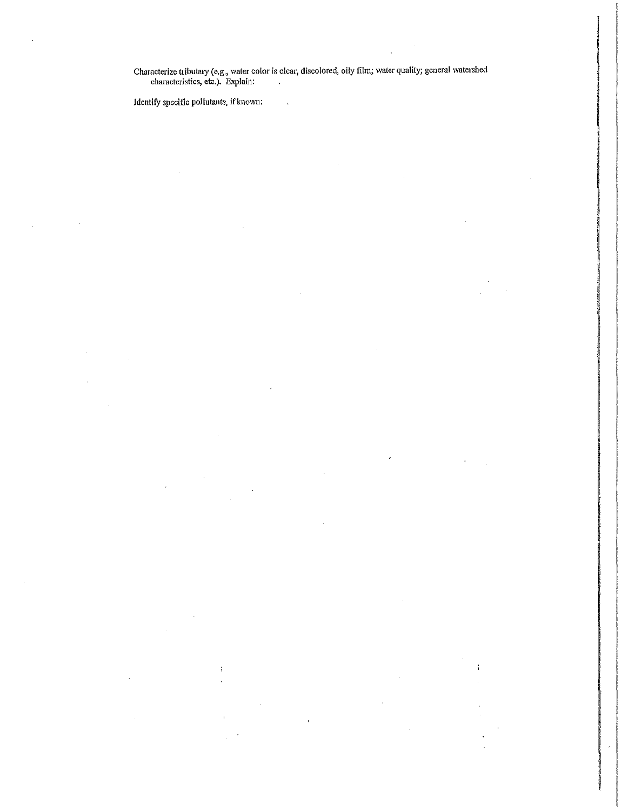Characterize tributary (e.g., water color is clear, discolored, oily film; water quality; general watershed characteristics, etc.). ExpJain:

Identify specific pollutants, if known: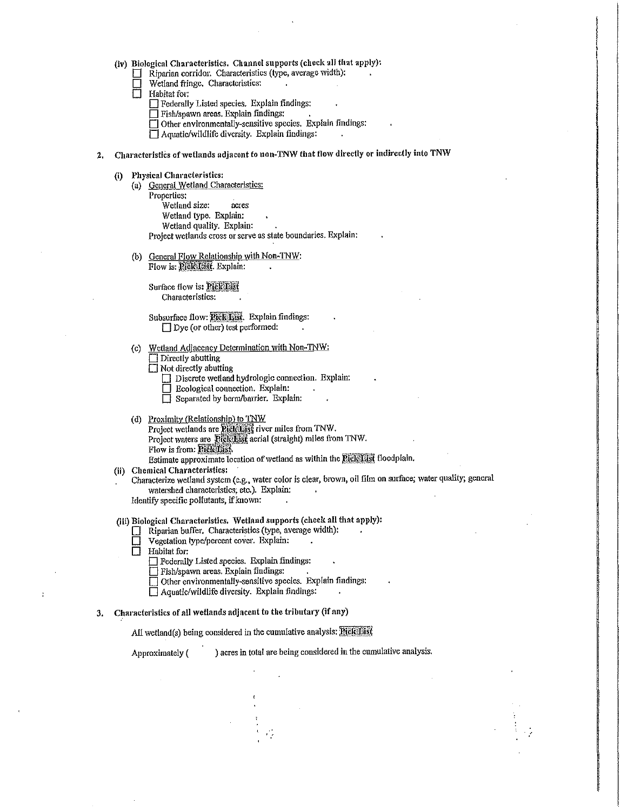|  |  | (iv) Biological Characteristics. Channel supports (check all that apply): |  |  |  |
|--|--|---------------------------------------------------------------------------|--|--|--|
|--|--|---------------------------------------------------------------------------|--|--|--|

- El Riparian corridor. Characteristics (type, average width):<br>  $\Box$  Wetland fringe. Characteristics:
- Wetland fringe. Characteristics:<br>
Habitat for:
- 0 Habitat for:
	- **D** Federally Listed species. Explain findings:
	- $\Box$  Fish/spawn areas. Explain findings:
	- Other environmentally-sensitive species. Explain findings:
	- $\Box$  Aquatic/wildlife diversity. Explain findings:
- 2. Characteristics of wetlands adjacent to non-TNW that flow directly or indirectly into TNW
	- (i) Physical Characteristics:
		- (a) General Wetland Characteristics: Properties: Wetland size: acres Wetland type. Explain: Wetland quality. Explain: Project wetlands cross or serve as state boundaries. Explain:
		- (b) General Flow Relationship with Non-TNW: Flow is: Pick List. Explain:

Surface flow is: **Rick ISK** Characteristics:

Subsurface flow: **Rick List**. Explain findings:  $\Box$  Dye (or other) test performed:

- (c) Wetland Adjacency Determination with Non-TNW:
	- $\Box$  Directly abutting
	- $\Box$  Not directly abutting
		- $\Box$  Discrete wetland hydrologic connection. Explain:
		- $\Box$  Ecological connection. Explain:
		- $\Box$  Separated by berm/barrier. Explain:
- (d) Proximity (Relationship) to TNW Project wetlands are Rich List river miles from TNW. Project waters are Rick List aerial (straight) miles from TNW. Flow is from: **Pick List.** Estimate approximate location of wetland as within the FickList floodplain.
- (ii) Chemical Characteristics:
	- Characterize wetland system (e.g., water color is clear, brown, oil film on surface; water quality; general watershed characteristics; etc.). Explain:

Identify specific pollutants, ifknown:

- (iii) Biological Characteristics. Wetland supports (check all that apply):
	- D Riparian buffer, Characteristics (type, average width):
	- $\Box$  Vegetation type/percent cover. Explain:<br>  $\Box$  Habitat for:
	- Habitat for:
		- **Federally Listed species. Explain findings:**
		- 0 Fish/spawn areas. Explain flndings:
		- □ Other environmentally-sensitive species. Explain findings:
		- $\Box$  Aquatic/wildlife diversity. Explain findings:
- 3. Characteristics of all wetlands adjacent to the tributary (if any)

All wetland(s) being considered in the cumulative analysis:  $\overline{PickMst}$ 

Approximately ( ) acres in total are being considered in the cumulative analysis.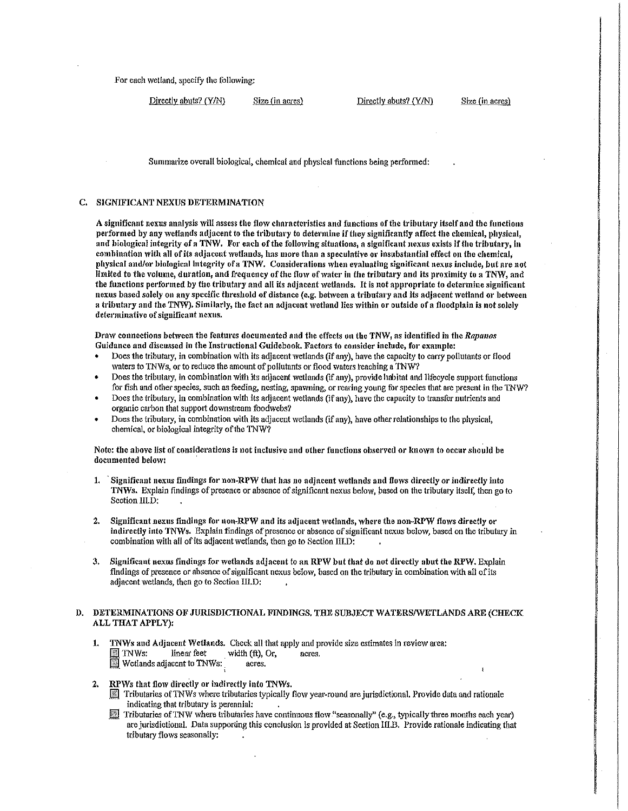For each wetland, specify the following:

Directly abuts? (Y/N) Size (in acres) Directly abuts? (Y/N) Size (in acres)

Summarize overall biological, chemical and physical functions being performed:

#### C. SIGNIFICANT NEXUS DETERMINATION

A significant nexus analysis will assess the flow characteristics and functions of the tributary itself and the functions performed by any wetlands adjacent to the tributary to determine if they significantly affect the chemical, physical, and biological integrity of a TNW. For each of the following situations, a significant nexus exists if the tributary, in combination with all of *its adjacent wetlands*, has more than a speculative or insubstantial effect on the chemical, physical and/or biological integrity of a TNW. Considerations when evaluating significant nexus include, but are not limited to the volume, duration, and frequency of the flow of water in the tributary and its proximity to a TNW, and the functions performed by the tributary and all its adjacent wetlands. It is not appropriate to determine significant nexus based solely on any specific threshold of distance (e.g. between a tributary and its adjacent wetland or between a tributary and the TNW). Similarly, the fact an adjacent wetland lies within or outside of a floodplain is not solely determinative of significant nexus.

Draw connections between the features documented and the effects on the TNW, as identified in the *Rapanos* Guidance and discussed in the Instructional Guidebook. Factors to consider include, for example:

- Does the tributary, in combination with its adjacent wetlands (if any), have the capacity to carry pollutants or flood waters to TNWs, or to reduce the amount of pollutants or flood waters reaching a TNW?
- Does the tributary, in combination with its adjacent wetlands (if any), provide habitat and lifecycle support functions for fish and other species, such as feeding, nesting, spawning, or rearing young for species that arc present in the TNW?
- Does the tributary, in combination with its adjacent wetlands (if any), have the capacity to transfer nutrients and organic carbon that support downstream foodwebs?
- Does the tributary, in combination with its adjacent wetlands (if any), have other relationships to the physical, chemical, or biological integrity of the TNW?

Note: the above list of considerations is not inclusive and other functions observed or known to occur should be documented below:

- 1. Significant nexus findings for non-RPW that has no adjacent wetlands and flows directly or indirectly into *TNWs.* Explain findings of presence or absence of significant nexus below, based on the tributaty itself, then go to Section HI.D:
- 2. Significant nexus findings for non-RPW and its adjacent wetlands, where the non-RPW flows directly or indirectly into TN\Vs. Explain findings of presence or absence of significant nexus below, based on the tributary in combination with all of its adjacent wetlands, then go to Section m.D:
- 3. Significant nexus findings for wetlands adjacent to an RPW but that do not directly abut the RPVV. Explain findings of presence or absence of significant nexus below, based on the tributary in combination with all of its adjacent wetlands, then go to Section llI.D:

# D. DETERMINATIONS OF JURISDICTIONAL FINDINGS. THE SUBJECT WATERS/WETLANDS ARE (CHECK ALL THAT APPLY):

- 1. TNWs and Adjacent Wetlands. Check all that apply and provide size estimates in review area:<br> $\boxed{\textcircled{3}}$  TNWs: linear feet width (ft), Or, acres.  $\boxed{3}$  TNWs: linear feet width (ft), Or, acres. **Wetlands adjacent to TNWs:** acres.
- 2. RPWs that flow directly or indirectly into TNWs.
	- $\mathbb{R}$  Tributaries of TNWs where tributaries typically flow year-round are jurisdictional. Provide data and rationale indicating that tributary is perennial: .
	- \_if Tributaries of TNW where tributaries have continuous flow useasonally,. (e.g., typically three months each year) are jurisdictional. Data supporting this conclusion is provided at Section 111.B. Provide rationale indicating that tributary flows seasonally: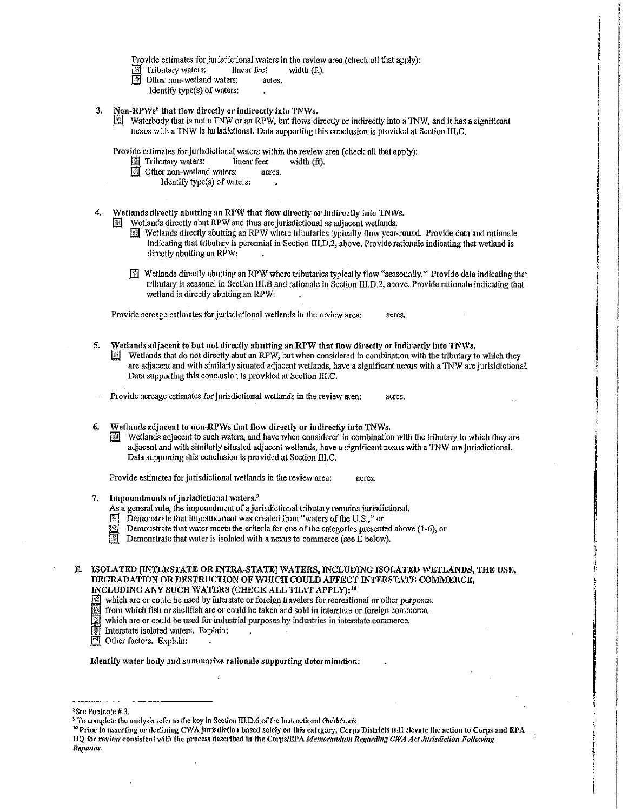Provide estimates for jurisdictional waters in the review area (check all that apply):<br> $\boxed{\$\]$  Tributary waters: linear feet width (ft).

- $\boxed{\&}$  Tributary waters:
- $\overline{I}$  Other non-wetland waters: acres.
	- Identify type(s) of waters:
- 3. Non-RPWs<sup>8</sup> that flow directly or indirectly into TNWs.
	- $\boxed{\mathbb{R}}$  Waterbody that is not a TNW or an RPW, but flows directly or indirectly into a TNW, and it has a significant nexus with a TNW is jurisdictional. Data supporting this conclusion is provided at Section III.C.

Provide estimates for jurisdictional waters within the review area (check all that apply):<br>  $\Box$  Tributary waters: linear feet width (ft).

- Fill Tributary waters: linearly waters: linearly waters:
	- er non-wetland waters: acres.<br>Identify type(s) of waters:
		-
- 4. Wetlands directly abutting an RPW that flow directly or indirectly into TNWs.
	- Wetlands directly abut RPW and thus are jurisdictional as adjacent wetlands.
		- $\mathbb{R}$  Wetlands directly abutting an RPW where tributaries typically flow year-round. Provide data and rationale indicating that tributary is perennial in Section III.D,2, above. Provide rationale indicating that wetland is direetly abutting an RPW:
		- $\mathbb{R}$  Wetlands directly abutting an RPW where tributaries typically flow "seasonally," Provide data indicating that tributary is seasonal in Section III.B and rationale in Section III.D.2, above. Provide rationale indicating that wetland is directly abutting an RPW:

Provide acreage estimates for jurisdictional wetlands in the review area: acres.

- 5. Wetlands adjacent to but not directly abutting an RPW that flow directly or indirectly into TNWs.
	- Wetlands that do not directly abut an RPW, but when considered in combination with the tributary to which they are adjacent and with similarly situated adjacent wetlands, have a significant nexus with a TNW are jurisidictional. Data supporting this conclusion is provided at Section III.C.
- Provide acreage estimates for jurisdictional wetlands in the review area: acres.
- Wetlands adjacent to non-RPWs that flow directly or indirectly into TNWs.
	- Wetlands adjacent to such waters, and have when considered in combination with the tributary to which they are adjacent and with similarly situated adjacent wetlands, have a significant nexus with a TNW are jurisdictional. Data supporting this conclusion is provided at Section III.C.

Provide estimates for jurisdictional wetlands in the review area: acres.

- 7. Impoundments of jurisdictional waters.<sup>9</sup>
	- As a general rule, the impoundment of a jurisdictional tributary remains jurisdictional.
	- Demonstrate that impoundment was created from "waters of the U.S.," or
	- Demonstrate that water meets the criteria for one of the categories presented above (1-6), or
	- Demonstrate that water is isolated with a nexus to commerce (see  $\hat{E}$  below).

E. ISOLATED IINTERSTATE OR INTRA-STATE] WATERS, INCLUDING ISOLATED WETLANDS, THE USE, DEGRADATION OR DESTRUCTION OF WHICH COULD AFFECT INTERSTATE COMMERCE, INCLUDING ANY SUCH WATERS (CHECK ALL THAT APPLY):10

- Which are or could be used by interstate or foreign travelers for recreational or other purposes.<br>
If the which fish or shellfish are or could be taken and sold in interstate or foreign commerce.<br>
Interstate isolated water
- from which fish or shellfish are or could be taken and sold in interstate or foreign commerce.
- which are or could be used for industrial purposes by industries in interstate commerce.
- Interstate isolated waters. Explain: .
- Other factors. Explain:

Identify water body and summarize rationale supporting determination:

<sup>9</sup> To complete the analysis refer to the key in Section III.D.6 of the Instructional Guidebook.<br><sup>10</sup> Prior to asserting or declining CWA jurisdiction based solely on this category, Corps Districts will elevate the action HQ for review consistent with the process described in the Corps/EPA *Memorandum Regarding CWA Act Jurisdiction Following Rapnnos.* 

<sup>8</sup> \$ce Footnote # 3.